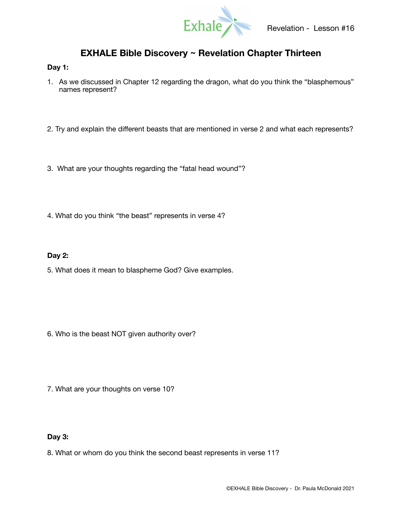

# **EXHALE Bible Discovery ~ Revelation Chapter Thirteen**

### **Day 1:**

- 1. As we discussed in Chapter 12 regarding the dragon, what do you think the "blasphemous" names represent?
- 2. Try and explain the different beasts that are mentioned in verse 2 and what each represents?
- 3. What are your thoughts regarding the "fatal head wound"?
- 4. What do you think "the beast" represents in verse 4?

## **Day 2:**

5. What does it mean to blaspheme God? Give examples.

- 6. Who is the beast NOT given authority over?
- 7. What are your thoughts on verse 10?

## **Day 3:**

8. What or whom do you think the second beast represents in verse 11?